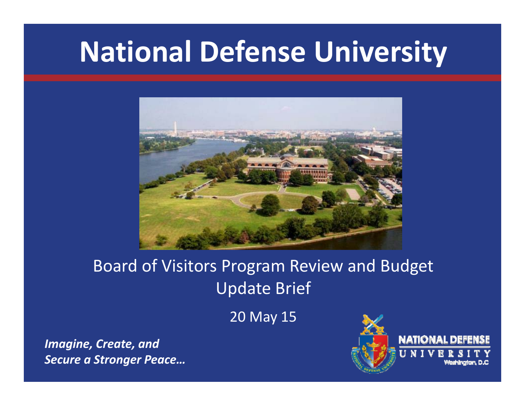# **National Defense University**



## Board of Visitors Program Review and Budget Update Brief

20 May 15

*Imagine, Create, and Secure a Stronger Peace…*

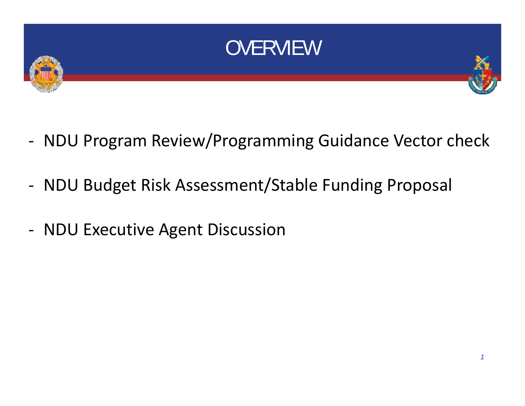

- ‐ NDU Program Review/Programming Guidance Vector check
- ‐ NDU Budget Risk Assessment/Stable Funding Proposal
- ‐ NDU Executive Agent Discussion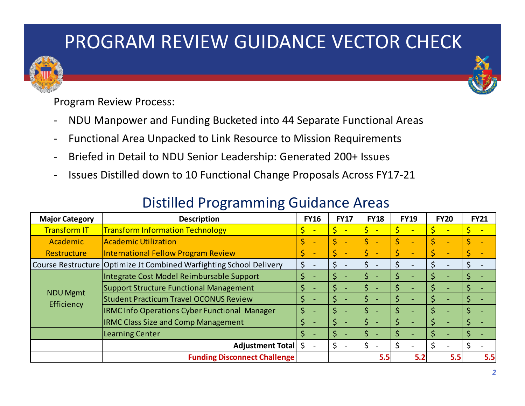## PROGRAM REVIEW GUIDANCE VECTOR CHECK





Program Review Process:

- NDU Manpower and Funding Bucketed into 44 Separate Functional Areas
- Functional Area Unpacked to Link Resource to Mission Requirements
- $\overline{\phantom{a}}$ Briefed in Detail to NDU Senior Leadership: Generated 200+ Issues
- Issues Distilled down to 10 Functional Change Proposals Across FY17-21

#### Distilled Programming Guidance Areas

| <b>Major Category</b>         | <b>Description</b>                                                    | <b>FY16</b> | <b>FY17</b> | <b>FY18</b> | <b>FY19</b> | <b>FY20</b> | <b>FY21</b> |
|-------------------------------|-----------------------------------------------------------------------|-------------|-------------|-------------|-------------|-------------|-------------|
| <b>Transform IT</b>           | <b>Transform Information Technology</b>                               | <b>-</b>    |             |             |             |             |             |
| Academic                      | <b>Academic Utilization</b>                                           |             |             |             |             |             |             |
| Restructure                   | International Fellow Program Review                                   |             |             |             |             |             |             |
|                               | Course Restructure   Optimize Jt Combined Warfighting School Delivery |             |             |             |             |             |             |
| <b>NDU Mgmt</b><br>Efficiency | Integrate Cost Model Reimbursable Support                             |             |             |             |             |             |             |
|                               | Support Structure Functional Management                               |             |             |             |             |             |             |
|                               | <b>Student Practicum Travel OCONUS Review</b>                         |             |             |             |             |             |             |
|                               | <b>IRMC Info Operations Cyber Functional Manager</b>                  |             |             |             |             |             |             |
|                               | <b>IRMC Class Size and Comp Management</b>                            |             |             |             |             |             |             |
|                               | Learning Center                                                       |             |             |             |             |             |             |
|                               | <b>Adjustment Total</b>                                               |             |             |             |             |             |             |
|                               | <b>Funding Disconnect Challenge</b>                                   |             |             | 5.5         | 5.2         | 5.5         | 5.5         |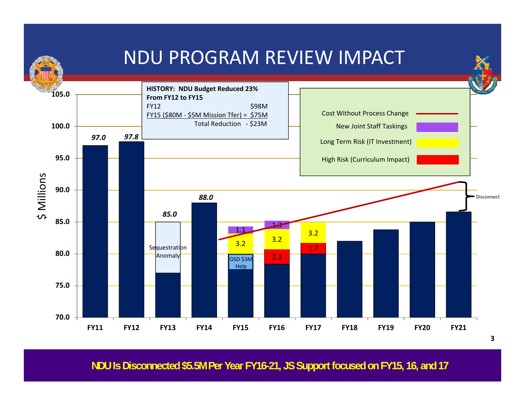

**NDU Is Disconnected \$5.5M Per Year FY16-21, JS Support focused on FY15, 16, and 17**

**3**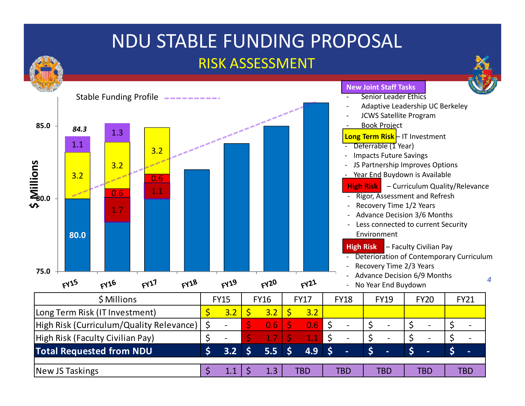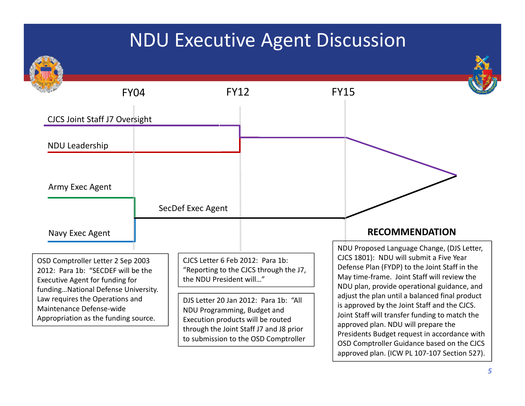## NDU Executive Agent Discussion



approved plan. (ICW PL 107‐107 Section 527).